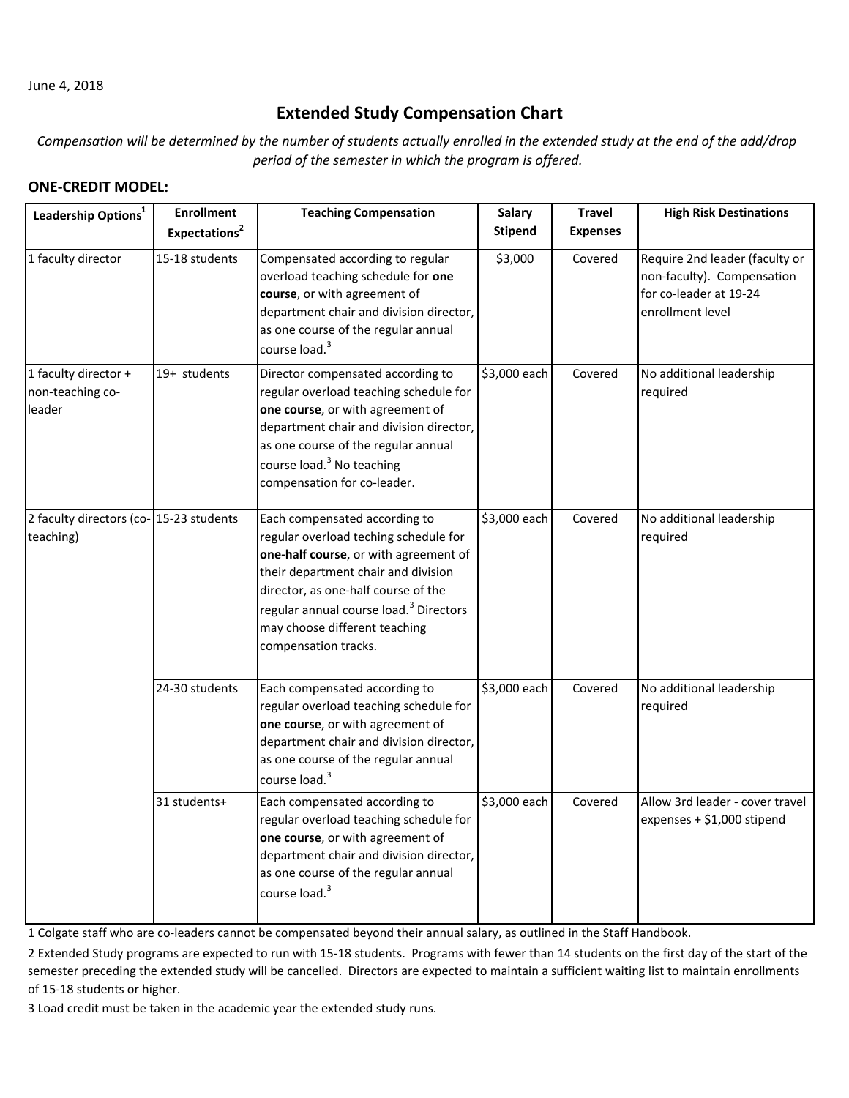June 4, 2018

## **Extended Study Compensation Chart**

Compensation will be determined by the number of students actually enrolled in the extended study at the end of the add/drop *period of the semester in which the program is offered.*

## **ONE‐CREDIT MODEL:**

| Leadership Options <sup>1</sup>                     | <b>Enrollment</b><br>Expectations <sup>2</sup> | <b>Teaching Compensation</b>                                                                                                                                                                                                                                                                                 | <b>Salary</b><br><b>Stipend</b> | <b>Travel</b><br><b>Expenses</b> | <b>High Risk Destinations</b>                                                                              |
|-----------------------------------------------------|------------------------------------------------|--------------------------------------------------------------------------------------------------------------------------------------------------------------------------------------------------------------------------------------------------------------------------------------------------------------|---------------------------------|----------------------------------|------------------------------------------------------------------------------------------------------------|
| 1 faculty director                                  | 15-18 students                                 | Compensated according to regular<br>overload teaching schedule for one<br>course, or with agreement of<br>department chair and division director,<br>as one course of the regular annual<br>course load. <sup>3</sup>                                                                                        | \$3,000                         | Covered                          | Require 2nd leader (faculty or<br>non-faculty). Compensation<br>for co-leader at 19-24<br>enrollment level |
| 1 faculty director +<br>non-teaching co-<br>leader  | 19+ students                                   | Director compensated according to<br>regular overload teaching schedule for<br>one course, or with agreement of<br>department chair and division director,<br>as one course of the regular annual<br>course load. <sup>3</sup> No teaching<br>compensation for co-leader.                                    | \$3,000 each                    | Covered                          | No additional leadership<br>required                                                                       |
| 2 faculty directors (co-15-23 students<br>teaching) |                                                | Each compensated according to<br>regular overload teching schedule for<br>one-half course, or with agreement of<br>their department chair and division<br>director, as one-half course of the<br>regular annual course load. <sup>3</sup> Directors<br>may choose different teaching<br>compensation tracks. | \$3,000 each                    | Covered                          | No additional leadership<br>required                                                                       |
|                                                     | 24-30 students                                 | Each compensated according to<br>regular overload teaching schedule for<br>one course, or with agreement of<br>department chair and division director,<br>as one course of the regular annual<br>course load. <sup>3</sup>                                                                                   | \$3,000 each                    | Covered                          | No additional leadership<br>required                                                                       |
|                                                     | 31 students+                                   | Each compensated according to<br>regular overload teaching schedule for<br>one course, or with agreement of<br>department chair and division director,<br>as one course of the regular annual<br>course load. <sup>3</sup>                                                                                   | \$3,000 each                    | Covered                          | Allow 3rd leader - cover travel<br>expenses + \$1,000 stipend                                              |

1 Colgate staff who are co-leaders cannot be compensated beyond their annual salary, as outlined in the Staff Handbook.

2 Extended Study programs are expected to run with 15‐18 students. Programs with fewer than 14 students on the first day of the start of the semester preceding the extended study will be cancelled. Directors are expected to maintain a sufficient waiting list to maintain enrollments of 15‐18 students or higher.

3 Load credit must be taken in the academic year the extended study runs.